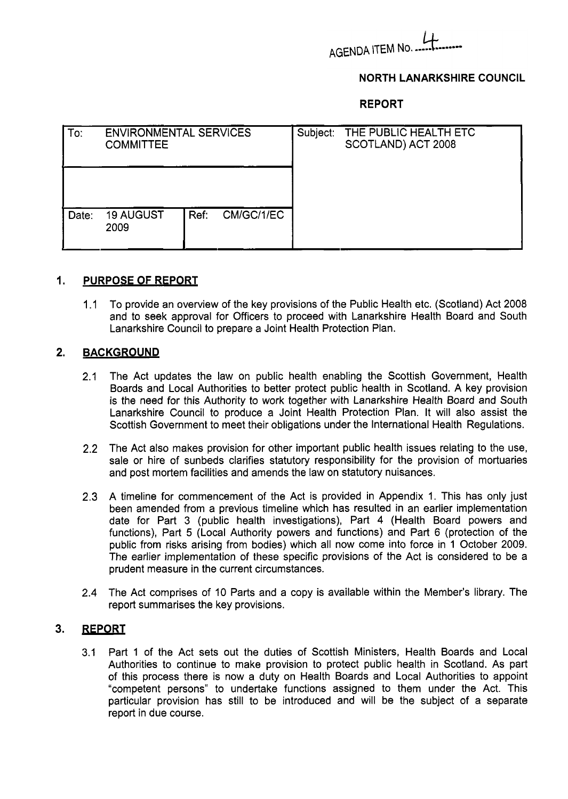# AGENDA ITEM No.

## **NORTH LANARKSHIRE COUNCIL**

**REPORT** 

| To:   | <b>ENVIRONMENTAL SERVICES</b><br><b>COMMITTEE</b> |                    | Subject: | THE PUBLIC HEALTH ETC<br>SCOTLAND) ACT 2008 |
|-------|---------------------------------------------------|--------------------|----------|---------------------------------------------|
|       |                                                   |                    |          |                                             |
| Date: | <b>19 AUGUST</b><br>2009                          | Ref:<br>CM/GC/1/EC |          |                                             |

#### **1. PURPOSE OF REPORT**

1.1 To provide an overview of the key provisions of the Public Health etc. (Scotland) Act 2008 and to seek approval for Officers to proceed with Lanarkshire Health Board and South Lanarkshire Council to prepare a Joint Health Protection Plan.

#### **2. BACKGROUND**

- 2.1 The Act updates the law on public health enabling the Scottish Government, Health Boards and Local Authorities to better protect public health in Scotland. A key provision is the need for this Authority to work together with Lanarkshire Health Board and South Lanarkshire Council to produce a Joint Health Protection Plan. It will also assist the Scottish Government to meet their obligations under the International Health Regulations.
- 2.2 The Act also makes provision for other important public health issues relating to the use, sale or hire of sunbeds clarifies statutory responsibility for the provision of mortuaries and post mortem facilities and amends the law on statutory nuisances.
- 2.3 A timeline for commencement of the Act is provided in Appendix 1. This has only just been amended from a previous timeline which has resulted in an earlier implementation date for Part 3 (public health investigations), Part 4 (Health Board powers and functions), Part 5 (Local Authority powers and functions) and Part 6 (protection of the public from risks arising from bodies) which all now come into force in 1 October 2009. The earlier implementation of these specific provisions of the Act is considered to be a prudent measure in the current circumstances.
- 2.4 The Act comprises of 10 Parts and a copy is available within the Member's library. The report summarises the key provisions.

#### **3. REPORT**

3.1 Part 1 of the Act sets out the duties of Scottish Ministers, Health Boards and Local Authorities to continue to make provision to protect public health in Scotland. As part of this process there is now a duty on Health Boards and Local Authorities to appoint "competent persons" to undertake functions assigned to them under the Act. This particular provision has still to be introduced and will be the subject of a separate report in due course.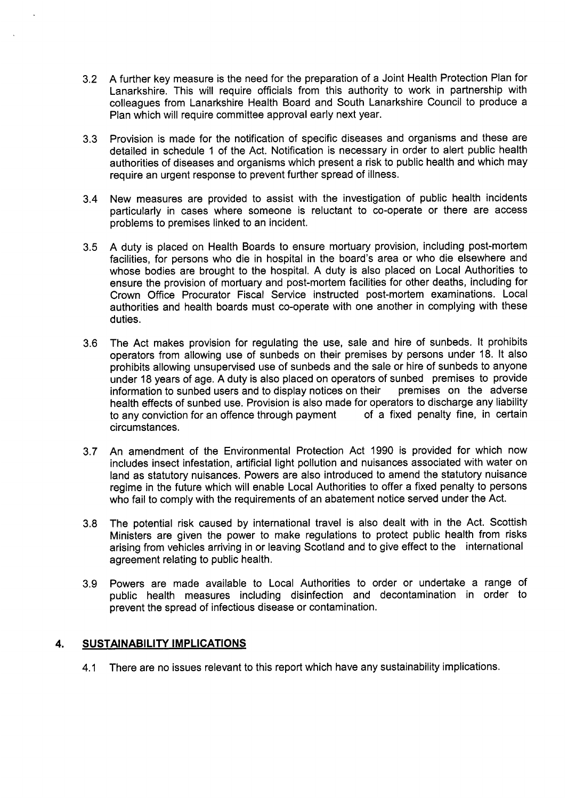- 3.2 A further key measure is the need for the preparation of a Joint Health Protection Plan for Lanarkshire. This will require officials from this authority to work in partnership with colleagues from Lanarkshire Health Board and South Lanarkshire Council to produce a Plan which will require committee approval early next year.
- 3.3 Provision is made for the notification of specific diseases and organisms and these are detailed in schedule 1 of the Act. Notification is necessary in order to alert public health authorities of diseases and organisms which present a risk to public health and which may require an urgent response to prevent further spread of illness.
- 3.4 New measures are provided to assist with the investigation of public health incidents particularly in cases where someone is reluctant to co-operate or there are access problems to premises linked to an incident.
- 3.5 A duty is placed on Health Boards to ensure mortuary provision, including post-mortem facilities, for persons who die in hospital in the board's area or who die elsewhere and whose bodies are brought to the hospital. A duty is also placed on Local Authorities to ensure the provision of mortuary and post-mortem facilities for other deaths, including for Crown Office Procurator Fiscal Service instructed post-mortem examinations. Local authorities and health boards must co-operate with one another in complying with these duties.
- 3.6 The Act makes provision for regulating the use, sale and hire of sunbeds. It prohibits operators from allowing use of sunbeds on their premises by persons under 18. It also prohibits allowing unsupervised use of sunbeds and the sale or hire of sunbeds to anyone under 18 years of age. A duty is also placed on operators of sunbed premises to provide<br>information to sunbed users and to display notices on their premises on the adverse information to sunbed users and to display notices on their health effects of sunbed use. Provision is also made for operators to discharge any liability<br>to any conviction for an offence through payment of a fixed penalty fine, in certain to any conviction for an offence through payment circumstances.
- 3.7 An amendment of the Environmental Protection Act 1990 is provided for which now includes insect infestation, artificial light pollution and nuisances associated with water on land as statutory nuisances. Powers are also introduced to amend the statutory nuisance regime in the future which will enable Local Authorities to offer a fixed penalty to persons who fail to comply with the requirements of an abatement notice served under the Act.
- 3.8 The potential risk caused by international travel is also dealt with in the Act. Scottish Ministers are given the power to make regulations to protect public health from risks arising from vehicles arriving in or leaving Scotland and to give effect to the international agreement relating to public health.
- 3.9 Powers are made available to Local Authorities to order or undertake a range of public health measures including disinfection and decontamination in order to prevent the spread of infectious disease or contamination.

### **4. SUSTAINABILITY IMPLICATIONS**

4.1 There are no issues relevant to this report which have any sustainability implications.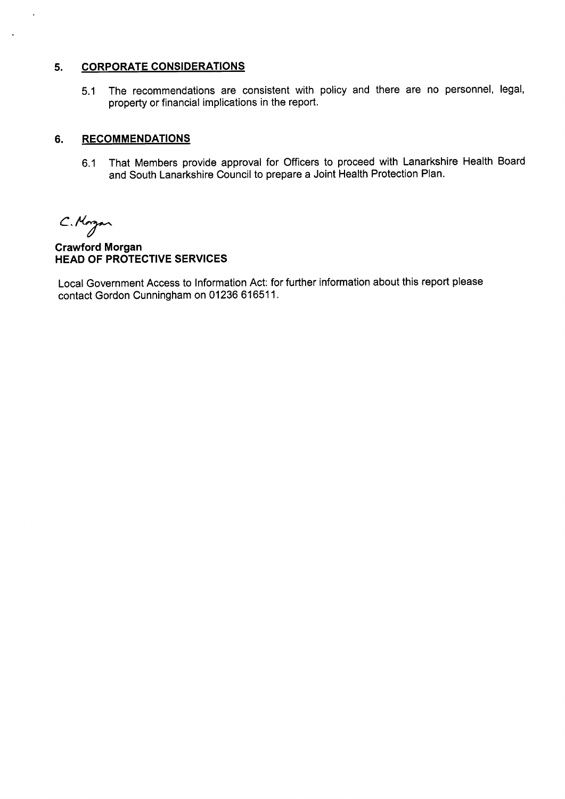## **5. CORPORATE CONSIDERATIONS**

5.1 The recommendations are consistent with policy and there are no personnel, legal, property or financial implications in the report.

## **6. RECOMMENDATIONS**

6.1 That Members provide approval for Officers to proceed with Lanarkshire Health Board and South Lanarkshire Council to prepare a Joint Health Protection Plan.

C.Morgan

 $\ddot{\phantom{1}}$ 

 $\ddot{\phantom{a}}$ 

**Crawford Morgan HEAD OF PROTECTIVE SERVICES** 

Local Government Access to Information Act: for further information about this report please contact Gordon Cunningham on 01236 61651 1.